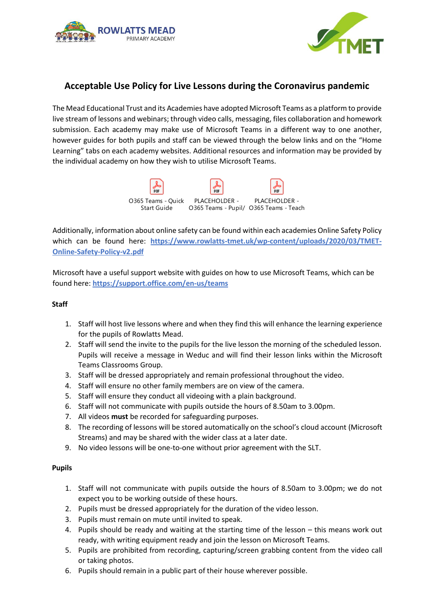



# **Acceptable Use Policy for Live Lessons during the Coronavirus pandemic**

The Mead Educational Trust and its Academies have adopted Microsoft Teams as a platform to provide live stream of lessons and webinars; through video calls, messaging, files collaboration and homework submission. Each academy may make use of Microsoft Teams in a different way to one another, however guides for both pupils and staff can be viewed through the below links and on the "Home Learning" tabs on each academy websites. Additional resources and information may be provided by the individual academy on how they wish to utilise Microsoft Teams.



Additionally, information about online safety can be found within each academies Online Safety Policy which can be found here: **[https://www.rowlatts-tmet.uk/wp-content/uploads/2020/03/TMET-](https://www.rowlatts-tmet.uk/wp-content/uploads/2020/03/TMET-Online-Safety-Policy-v2.pdf)[Online-Safety-Policy-v2.pdf](https://www.rowlatts-tmet.uk/wp-content/uploads/2020/03/TMET-Online-Safety-Policy-v2.pdf)**

Microsoft have a useful support website with guides on how to use Microsoft Teams, which can be found here: **<https://support.office.com/en-us/teams>**

# **Staff**

- 1. Staff will host live lessons where and when they find this will enhance the learning experience for the pupils of Rowlatts Mead.
- 2. Staff will send the invite to the pupils for the live lesson the morning of the scheduled lesson. Pupils will receive a message in Weduc and will find their lesson links within the Microsoft Teams Classrooms Group.
- 3. Staff will be dressed appropriately and remain professional throughout the video.
- 4. Staff will ensure no other family members are on view of the camera.
- 5. Staff will ensure they conduct all videoing with a plain background.
- 6. Staff will not communicate with pupils outside the hours of 8.50am to 3.00pm.
- 7. All videos **must** be recorded for safeguarding purposes.
- 8. The recording of lessons will be stored automatically on the school's cloud account (Microsoft Streams) and may be shared with the wider class at a later date.
- 9. No video lessons will be one-to-one without prior agreement with the SLT.

### **Pupils**

- 1. Staff will not communicate with pupils outside the hours of 8.50am to 3.00pm; we do not expect you to be working outside of these hours.
- 2. Pupils must be dressed appropriately for the duration of the video lesson.
- 3. Pupils must remain on mute until invited to speak.
- 4. Pupils should be ready and waiting at the starting time of the lesson this means work out ready, with writing equipment ready and join the lesson on Microsoft Teams.
- 5. Pupils are prohibited from recording, capturing/screen grabbing content from the video call or taking photos.
- 6. Pupils should remain in a public part of their house wherever possible.